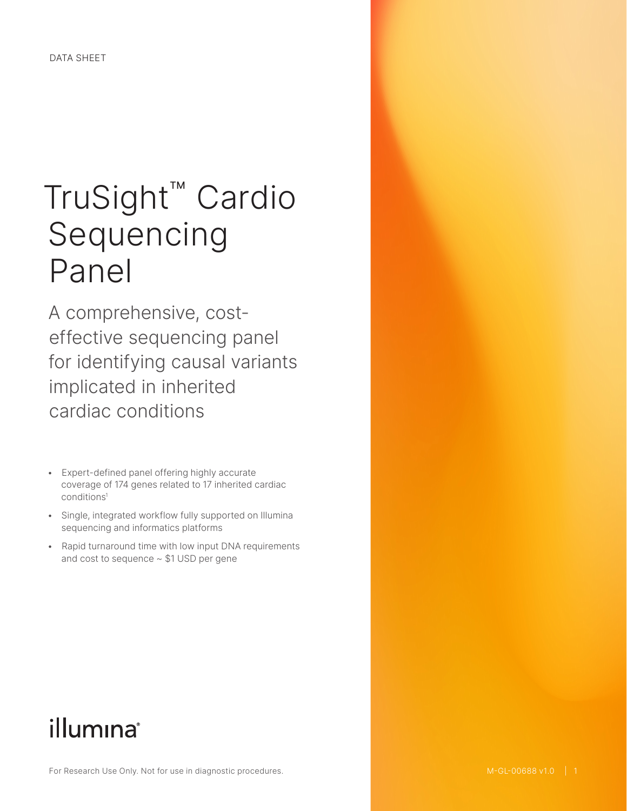# TruSight™ Cardio Sequencing Panel

A comprehensive, costeffective sequencing panel for identifying causal variants implicated in inherited cardiac conditions

- Expert-defined panel offering highly accurate coverage of 174 genes related to 17 inherited cardiac condition[s1](#page-6-0)
- Single, integrated workflow fully supported on Illumina sequencing and informatics platforms
- Rapid turnaround time with low input DNA requirements and cost to sequence ~ \$1 USD per gene

# illumina®

For Research Use Only. Not for use in diagnostic procedures.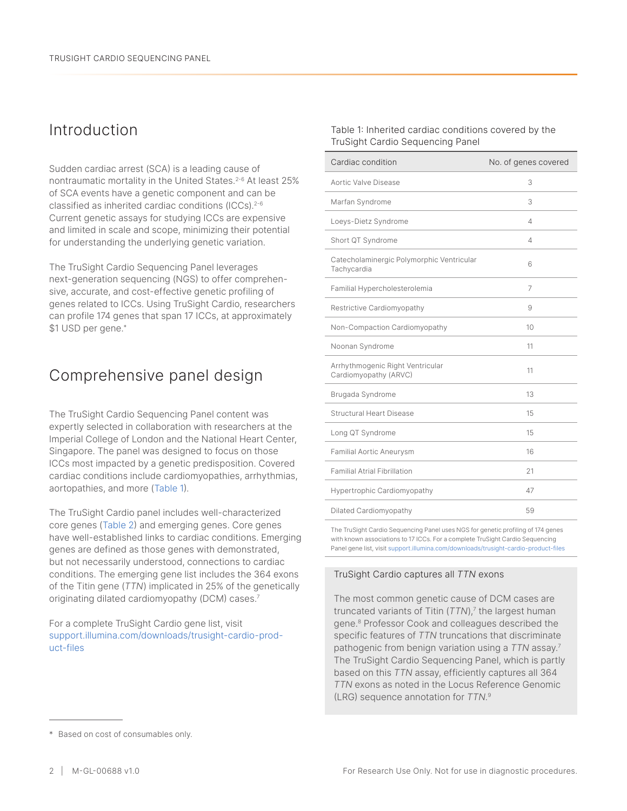# Introduction

Sudden cardiac arrest (SCA) is a leading cause of nontraumatic mortality in the United States.<sup>[2](#page-6-1)-6</sup> At least 25% of SCA events have a genetic component and can be classified as inherited cardiac conditions (ICCs).[2](#page-6-1)-6 Current genetic assays for studying ICCs are expensive and limited in scale and scope, minimizing their potential for understanding the underlying genetic variation.

The TruSight Cardio Sequencing Panel leverages next-generation sequencing (NGS) to offer comprehensive, accurate, and cost-effective genetic profiling of genes related to ICCs. Using TruSight Cardio, researchers can profile 174 genes that span 17 ICCs, at approximately \$1 USD per gene.\*

# Comprehensive panel design

The TruSight Cardio Sequencing Panel content was expertly selected in collaboration with researchers at the Imperial College of London and the National Heart Center, Singapore. The panel was designed to focus on those ICCs most impacted by a genetic predisposition. Covered cardiac conditions include cardiomyopathies, arrhythmias, aortopathies, and more (Table 1).

The TruSight Cardio panel includes well-characterized core genes [\(Table 2](#page-2-0)) and emerging genes. Core genes have well-established links to cardiac conditions. Emerging genes are defined as those genes with demonstrated, but not necessarily understood, connections to cardiac conditions. The emerging gene list includes the 364 exons of the Titin gene (*TTN*) implicated in 25% of the genetically originating dilated cardiomyopathy (DCM) cases.<sup>7</sup>

For a complete TruSight Cardio gene list, visit [support.illumina.com/downloads/trusight-cardio-prod](https://support.illumina.com/downloads/trusight-cardio-product-files.html)[uct-files](https://support.illumina.com/downloads/trusight-cardio-product-files.html)

Table 1: Inherited cardiac conditions covered by the TruSight Cardio Sequencing Panel

| Cardiac condition                                         | No. of genes covered |
|-----------------------------------------------------------|----------------------|
| Aortic Valve Disease                                      | 3                    |
| Marfan Syndrome                                           | 3                    |
| Loeys-Dietz Syndrome                                      | 4                    |
| Short QT Syndrome                                         | 4                    |
| Catecholaminergic Polymorphic Ventricular<br>Tachycardia  | 6                    |
| Familial Hypercholesterolemia                             | 7                    |
| Restrictive Cardiomyopathy                                | 9                    |
| Non-Compaction Cardiomyopathy                             | 10                   |
| Noonan Syndrome                                           | 11                   |
| Arrhythmogenic Right Ventricular<br>Cardiomyopathy (ARVC) | 11                   |
| Brugada Syndrome                                          | 13                   |
| <b>Structural Heart Disease</b>                           | 15                   |
| Long QT Syndrome                                          | 15                   |
| Familial Aortic Aneurysm                                  | 16                   |
| <b>Familial Atrial Fibrillation</b>                       | 21                   |
| Hypertrophic Cardiomyopathy                               | 47                   |
| Dilated Cardiomyopathy                                    | 59                   |

The TruSight Cardio Sequencing Panel uses NGS for genetic profiling of 174 genes with known associations to 17 ICCs. For a complete TruSight Cardio Sequencing Panel gene list, visit [support.illumina.com/downloads/trusight-cardio-product-files](http://support.illumina.com/downloads/trusight-cardio-product-files.html)

#### TruSight Cardio captures all *TTN* exons

The most common genetic cause of DCM cases are truncated variants of Titin (*TTN*),7 the largest human gene.8 Professor Cook and colleagues described the specific features of *TTN* truncations that discriminate pathogenic from benign variation using a *TTN* assay.<sup>7</sup> The TruSight Cardio Sequencing Panel, which is partly based on this *TTN* assay, efficiently captures all 364 *TTN* exons as noted in the Locus Reference Genomic (LRG) sequence annotation for *TTN.*9

<sup>\*</sup> Based on cost of consumables only.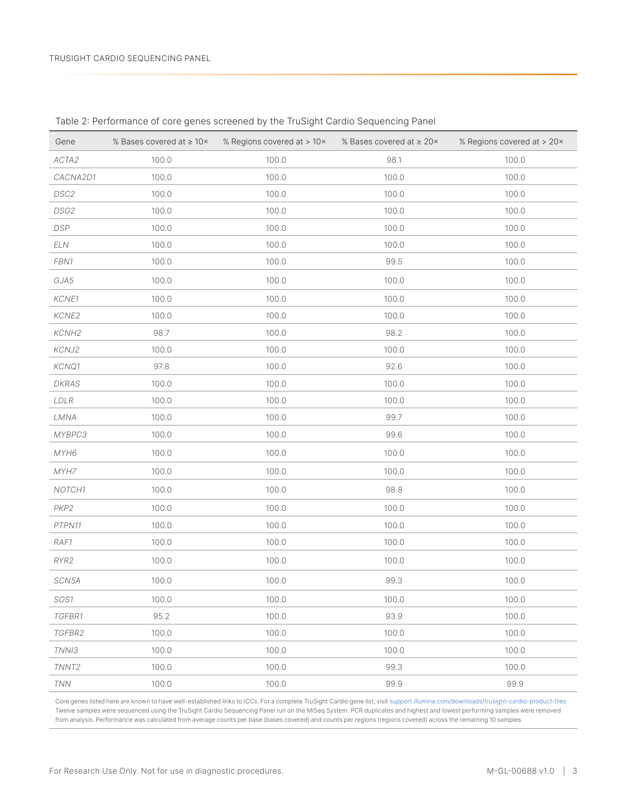| Gene              | % Bases covered at $\geq 10 \times$ | % Regions covered at > 10x | % Bases covered at ≥ 20× | % Regions covered at > 20x |
|-------------------|-------------------------------------|----------------------------|--------------------------|----------------------------|
| ACTA2             | 100.0                               | 100.0                      | 98.1                     | 100.0                      |
| CACNA2D1          | 100.0                               | 100.0                      | 100.0                    | 100.0                      |
| DSC2              | 100.0                               | 100.0                      | 100.0                    | 100.0                      |
| DSG2              | 100.0                               | 100.0                      | 100.0                    | 100.0                      |
| DSP               | 100.0                               | 100.0                      | 100.0                    | 100.0                      |
| ELN               | 100.0                               | 100.0                      | 100.0                    | 100.0                      |
| FBN1              | 100.0                               | 100.0                      | 99.5                     | 100.0                      |
| GJA5              | 100.0                               | 100.0                      | 100.0                    | 100.0                      |
| KCNE1             | 100.0                               | 100.0                      | 100.0                    | 100.0                      |
| KCNE2             | 100.0                               | 100.0                      | 100.0                    | 100.0                      |
| KCNH <sub>2</sub> | 98.7                                | 100.0                      | 98.2                     | 100.0                      |
| KCNJ2             | 100.0                               | 100.0                      | 100.0                    | 100.0                      |
| KCNQ1             | 97.8                                | 100.0                      | 92.6                     | 100.0                      |
| DKRAS             | 100.0                               | 100.0                      | 100.0                    | 100.0                      |
| LDLR              | 100.0                               | 100.0                      | 100.0                    | 100.0                      |
| LMNA              | 100.0                               | 100.0                      | 99.7                     | 100.0                      |
| MYBPC3            | 100.0                               | 100.0                      | 99.6                     | 100.0                      |
| MYH6              | 100.0                               | 100.0                      | 100.0                    | 100.0                      |
| MYH7              | 100.0                               | 100.0                      | 100.0                    | 100.0                      |
| NOTCH1            | 100.0                               | 100.0                      | 98.8                     | 100.0                      |
| PKP2              | 100.0                               | 100.0                      | 100.0                    | 100.0                      |
| PTPN11            | 100.0                               | 100.0                      | 100.0                    | 100.0                      |
| RAF1              | 100.0                               | 100.0                      | 100.0                    | 100.0                      |
| RYR2              | 100.0                               | 100.0                      | 100.0                    | 100.0                      |
| SCN5A             | 100.0                               | 100.0                      | 99.3                     | 100.0                      |
| SOS1              | 100.0                               | 100.0                      | 100.0                    | 100.0                      |
| TGFBR1            | 95.2                                | 100.0                      | 93.9                     | 100.0                      |
| TGFBR2            | 100.0                               | 100.0                      | 100.0                    | 100.0                      |
| TNNI3             | 100.0                               | 100.0                      | 100.0                    | 100.0                      |
| TNNT <sub>2</sub> | 100.0                               | 100.0                      | 99.3                     | 100.0                      |
| <b>TNN</b>        | 100.0                               | 100.0                      | 99.9                     | 99.9                       |

<span id="page-2-0"></span>Table 2: Performance of core genes screened by the TruSight Cardio Sequencing Panel

Core genes listed here are known to have well-established links to ICCs. For a complete TruSight Cardio gene list, visit [support.illumina.com/downloads/trusight-cardio-product-files](http://support.illumina.com/downloads/trusight-cardio-product-files.html) Twelve samples were sequenced using the TruSight Cardio Sequencing Panel run on the MiSeq System. PCR duplicates and highest and lowest performing samples were removed from analysis. Performance was calculated from average counts per base (bases covered) and counts per regions (regions covered) across the remaining 10 samples.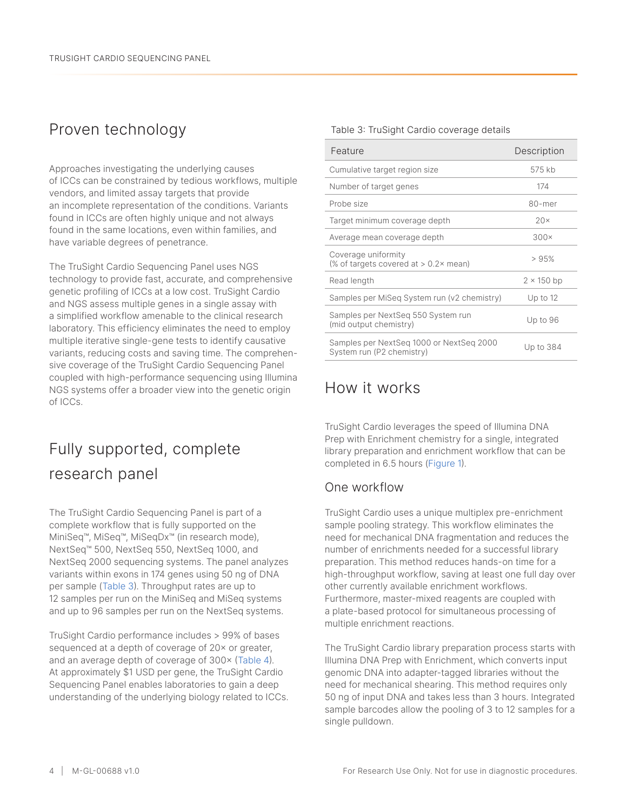# Proven technology

Approaches investigating the underlying causes of ICCs can be constrained by tedious workflows, multiple vendors, and limited assay targets that provide an incomplete representation of the conditions. Variants found in ICCs are often highly unique and not always found in the same locations, even within families, and have variable degrees of penetrance.

The TruSight Cardio Sequencing Panel uses NGS technology to provide fast, accurate, and comprehensive genetic profiling of ICCs at a low cost. TruSight Cardio and NGS assess multiple genes in a single assay with a simplified workflow amenable to the clinical research laboratory. This efficiency eliminates the need to employ multiple iterative single-gene tests to identify causative variants, reducing costs and saving time. The comprehensive coverage of the TruSight Cardio Sequencing Panel coupled with high-performance sequencing using Illumina NGS systems offer a broader view into the genetic origin of ICCs.

# Fully supported, complete research panel

The TruSight Cardio Sequencing Panel is part of a complete workflow that is fully supported on the MiniSeq™, MiSeq™, MiSeqDx™ (in research mode), NextSeq™ 500, NextSeq 550, NextSeq 1000, and NextSeq 2000 sequencing systems. The panel analyzes variants within exons in 174 genes using 50 ng of DNA per sample ([Table 3\)](#page-3-0). Throughput rates are up to 12 samples per run on the MiniSeq and MiSeq systems and up to 96 samples per run on the NextSeq systems.

TruSight Cardio performance includes > 99% of bases sequenced at a depth of coverage of 20× or greater, and an average depth of coverage of 300× ([Table 4](#page-4-0)). At approximately \$1 USD per gene, the TruSight Cardio Sequencing Panel enables laboratories to gain a deep understanding of the underlying biology related to ICCs.

#### <span id="page-3-0"></span>Table 3: TruSight Cardio coverage details

| Feature                                                               | Description       |
|-----------------------------------------------------------------------|-------------------|
| Cumulative target region size                                         | 575 kb            |
| Number of target genes                                                | 174               |
| Probe size                                                            | 80-mer            |
| Target minimum coverage depth                                         | $20\times$        |
| Average mean coverage depth                                           | $300\times$       |
| Coverage uniformity<br>(% of targets covered at $> 0.2 \times$ mean)  | >95%              |
| Read length                                                           | $2 \times 150$ bp |
| Samples per MiSeq System run (v2 chemistry)                           | Up to $12$        |
| Samples per NextSeq 550 System run<br>(mid output chemistry)          | Up to 96          |
| Samples per NextSeg 1000 or NextSeg 2000<br>System run (P2 chemistry) | Up to 384         |

## How it works

TruSight Cardio leverages the speed of Illumina DNA Prep with Enrichment chemistry for a single, integrated library preparation and enrichment workflow that can be completed in 6.5 hours (Figure 1).

#### One workflow

TruSight Cardio uses a unique multiplex pre-enrichment sample pooling strategy. This workflow eliminates the need for mechanical DNA fragmentation and reduces the number of enrichments needed for a successful library preparation. This method reduces hands-on time for a high-throughput workflow, saving at least one full day over other currently available enrichment workflows. Furthermore, master-mixed reagents are coupled with a plate-based protocol for simultaneous processing of multiple enrichment reactions.

The TruSight Cardio library preparation process starts with Illumina DNA Prep with Enrichment, which converts input genomic DNA into adapter-tagged libraries without the need for mechanical shearing. This method requires only 50 ng of input DNA and takes less than 3 hours. Integrated sample barcodes allow the pooling of 3 to 12 samples for a single pulldown.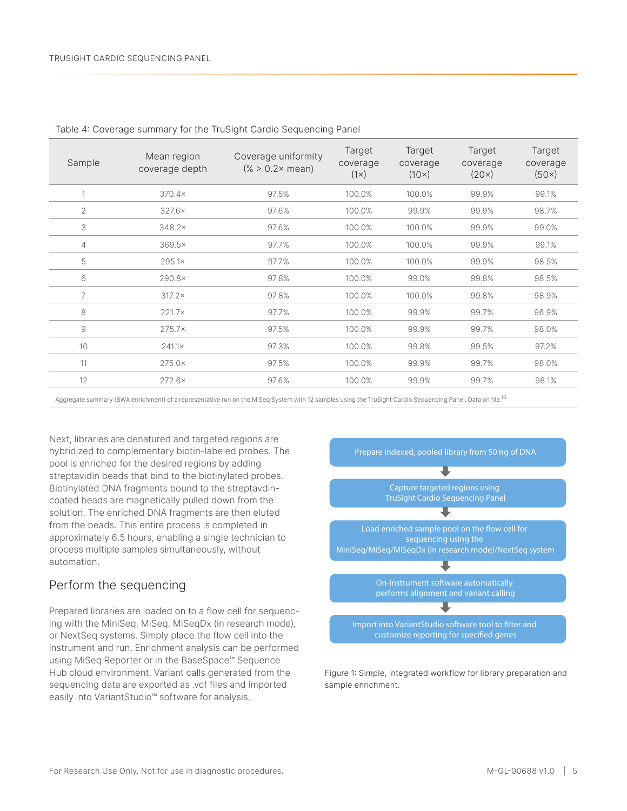| Sample         | Mean region<br>coverage depth | Coverage uniformity<br>$(\% > 0.2 \times mean)$ | Target<br>coverage<br>$(1\times)$ | Target<br>coverage<br>$(10\times)$ | Target<br>coverage<br>(20x) | Target<br>coverage<br>(50x) |
|----------------|-------------------------------|-------------------------------------------------|-----------------------------------|------------------------------------|-----------------------------|-----------------------------|
| 1              | $370.4\times$                 | 97.5%                                           | 100.0%                            | 100.0%                             | 99.9%                       | 99.1%                       |
| $\overline{2}$ | $327.6\times$                 | 97.6%                                           | 100.0%                            | 99.9%                              | 99.9%                       | 98.7%                       |
| 3              | $348.2\times$                 | 97.6%                                           | 100.0%                            | 100.0%                             | 99.9%                       | 99.0%                       |
| 4              | $369.5\times$                 | 97.7%                                           | 100.0%                            | 100.0%                             | 99.9%                       | 99.1%                       |
| 5              | $295.1\times$                 | 97.7%                                           | 100.0%                            | 100.0%                             | 99.9%                       | 98.5%                       |
| 6              | $290.8\times$                 | 97.8%                                           | 100.0%                            | 99.0%                              | 99.8%                       | 98.5%                       |
| 7              | $317.2\times$                 | 97.8%                                           | 100.0%                            | 100.0%                             | 99.8%                       | 98.9%                       |
| 8              | $221.7\times$                 | 97.7%                                           | 100.0%                            | 99.9%                              | 99.7%                       | 96.9%                       |
| 9              | $275.7\times$                 | 97.5%                                           | 100.0%                            | 99.9%                              | 99.7%                       | 98.0%                       |
| 10             | $241.1\times$                 | 97.3%                                           | 100.0%                            | 99.8%                              | 99.5%                       | 97.2%                       |
| 11             | $275.0\times$                 | 97.5%                                           | 100.0%                            | 99.9%                              | 99.7%                       | 98.0%                       |
| 12             | $272.6\times$                 | 97.6%                                           | 100.0%                            | 99.9%                              | 99.7%                       | 98.1%                       |

<span id="page-4-0"></span>Table 4: Coverage summary for the TruSight Cardio Sequencing Panel

Aggregate summary (BWA enrichment) of a representative run on the MiSeq System with 12 samples using the TruSight Cardio Sequencing Panel. Data on file.<sup>[10](#page-6-2)</sup>

Next, libraries are denatured and targeted regions are hybridized to complementary biotin-labeled probes. The pool is enriched for the desired regions by adding streptavidin beads that bind to the biotinylated probes. Biotinylated DNA fragments bound to the streptavdincoated beads are magnetically pulled down from the solution. The enriched DNA fragments are then eluted from the beads. This entire process is completed in approximately 6.5 hours, enabling a single technician to process multiple samples simultaneously, without automation.

#### Perform the sequencing

Prepared libraries are loaded on to a flow cell for sequencing with the MiniSeq, MiSeq, MiSeqDx (in research mode), or NextSeq systems. Simply place the flow cell into the instrument and run. Enrichment analysis can be performed using MiSeq Reporter or in the BaseSpace™ Sequence Hub cloud environment. Variant calls generated from the sequencing data are exported as .vcf files and imported easily into VariantStudio™ software for analysis.



Figure 1: Simple, integrated workflow for library preparation and sample enrichment.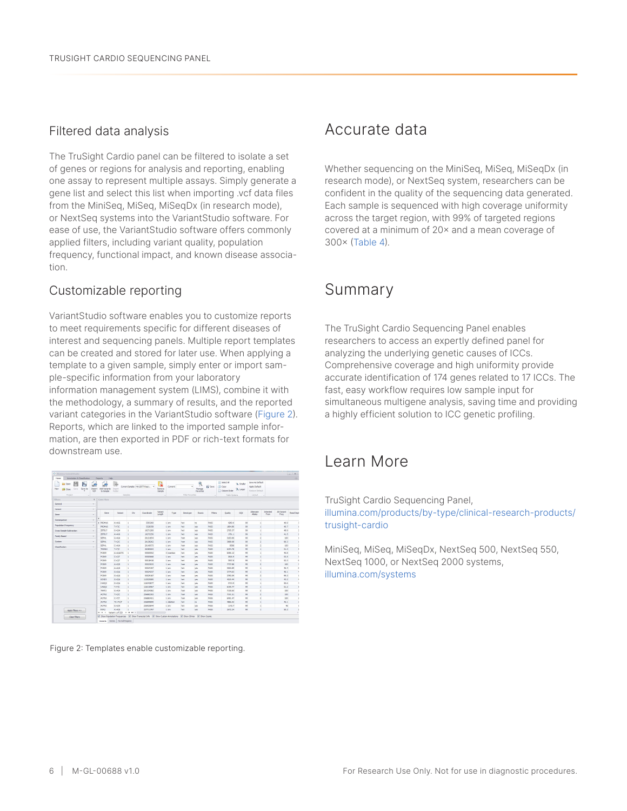#### Filtered data analysis

The TruSight Cardio panel can be filtered to isolate a set of genes or regions for analysis and reporting, enabling one assay to represent multiple assays. Simply generate a gene list and select this list when importing .vcf data files from the MiniSeq, MiSeq, MiSeqDx (in research mode), or NextSeq systems into the VariantStudio software. For ease of use, the VariantStudio software offers commonly applied filters, including variant quality, population frequency, functional impact, and known disease association.

#### Customizable reporting

VariantStudio software enables you to customize reports to meet requirements specific for different diseases of interest and sequencing panels. Multiple report templates can be created and stored for later use. When applying a template to a given sample, simply enter or import sample-specific information from your laboratory information management system (LIMS), combine it with the methodology, a summary of results, and the reported variant categories in the VariantStudio software [\(Figure 2](#page-5-0)). Reports, which are linked to the imported sample information, are then exported in PDF or rich-text formats for downstream use.

| ь<br>Open<br>Save As<br>Save<br>New<br><b>ESP</b> Close | w.<br>Import<br>VOT. | W.<br>Add Verlants<br>to Sample                | Inport<br>Folder          | Current Sangle: NA12877-Rep1             |            | Remove<br>Sample  | Currents        | ۰        | $\mathcal{R}$<br>Manage<br>Favoritas | El Save       | Select All<br>D Copy<br>Column Order | 'A Snale<br>"A Larger | Save As Default<br>Apply Default<br>Restore Default |                   |                     |                  |
|---------------------------------------------------------|----------------------|------------------------------------------------|---------------------------|------------------------------------------|------------|-------------------|-----------------|----------|--------------------------------------|---------------|--------------------------------------|-----------------------|-----------------------------------------------------|-------------------|---------------------|------------------|
| Sender<br>Protect                                       |                      |                                                |                           |                                          |            | Filter Finronhes  |                 |          | Table Options                        |               | Lenguit                              |                       |                                                     |                   |                     |                  |
| <b>Titers</b>                                           | $\mathbf{a}$         | Gene View                                      |                           |                                          |            |                   |                 |          |                                      |               |                                      |                       |                                                     |                   |                     |                  |
| General                                                 | $\sim$               |                                                |                           |                                          |            |                   |                 |          |                                      |               |                                      |                       |                                                     |                   |                     |                  |
| Variant                                                 | $\omega$             |                                                |                           |                                          |            |                   |                 |          |                                      |               |                                      |                       |                                                     |                   |                     |                  |
| Gene                                                    | $\checkmark$         | Gene                                           | <b>Yariset</b>            | <b>Civ</b>                               | Coordinate | Variant<br>Length | Type            | Genetype | <b>Don't</b>                         | <b>Fibers</b> | <b>Quality</b>                       | GDX                   | Alternate<br>Alleign                                | Inherited<br>From | Alt Variant<br>Freq | <b>Read Dept</b> |
| Сопреднесе                                              | $\sim$               | ٠                                              |                           |                                          |            |                   |                 |          |                                      |               |                                      |                       |                                                     |                   |                     |                  |
|                                                         |                      | · PROPILE                                      | 434/6                     | $\overline{1}$                           | 3303260    |                   | 1.97t           | het      | no.                                  | PASS          | 4260.6                               | 99                    | $\mathbb{C}$                                        |                   | 46.9                |                  |
| Population Frequency                                    | $\sim$               | <b>PROM16</b>                                  | <b>T&gt;T/C</b>           | $\overline{1}$                           | 3328358    |                   | 1.974           | het      | yes                                  | PAGE          | 1804.95                              | 99                    | f,                                                  |                   | 40.7                |                  |
| Cross Sample Subtraction                                | $\sim$               | 207017                                         | GoGM                      | $\overline{1}$                           | 16271260   |                   | 1.07t           | het      | <b>VEG</b>                           | PASS          | 2795.37                              | 99                    | ×.                                                  |                   | 40.9                |                  |
|                                                         |                      | 207817                                         | A>A/G                     | $\mathbf{1}$                             | 16272250   |                   | 1.877           | het      | <b>YEE</b>                           | PASS          | 1761.1                               | $\infty$              | L.                                                  |                   | 41.5                |                  |
| Family Dazed                                            | $\sim$               | 55991                                          | CHAIA                     | $\mathbf{1}$                             | 26133654   |                   | 1.977           | how      | ves                                  | PASS          | 3183.66                              | $\mathcal{D}$         | $\overline{z}$                                      |                   | 100                 |                  |
| Custom                                                  | ×                    | SEPN1                                          | T>CK                      | $\overline{1}$                           | 26138262   |                   | 1.97t           | how      | ves                                  | PASS          | 3688.68                              | $^{99}$               | $\overline{2}$                                      |                   | 99.3                |                  |
| Cleasification                                          | $\sim$               | SEPN1                                          | C>A/A                     | $\overline{1}$                           | 26140572   |                   | 1.977           | hom      | yes                                  | PAGE          | 8998                                 | 99                    | $\overline{a}$                                      |                   | 100                 |                  |
|                                                         |                      | TRIMG3                                         | T>T/C                     | l.                                       | 26385003   |                   | 1.077           | het      | <b>YEE</b>                           | PAGS          | 6254.78                              | 99                    | <b>L</b>                                            |                   | 51.3                |                  |
|                                                         |                      | PCSK9                                          | A>A/ACTG                  | 1                                        | 55505552   |                   | 3 insertion     | het      | yes.                                 | PASS          | 6056.12                              | $\mathfrak{D}$        | ×.                                                  |                   | 40.8                |                  |
|                                                         |                      | FCSK9                                          | CHON                      | $\overline{1}$                           | 55505668   |                   | 1.977           | het      | ves                                  | PA65          | 3816.9                               | 22                    | ×                                                   |                   | 53.5                |                  |
|                                                         |                      | <b>PCSK9</b>                                   | C>C/T                     | $\overline{1}$                           | \$5519418  |                   | 1.97t           | het      | ves                                  | PASS          | 7857.8                               | 99                    | ×.                                                  |                   | \$2.3               |                  |
|                                                         |                      | PCSK9                                          | A>G/G                     | $\overline{1}$                           | \$5523033  |                   | 1.07t           | hom      | <b>VEG</b>                           | PAGS          | 7737,00                              | 99                    | $\overline{a}$                                      |                   | sco                 |                  |
|                                                         |                      | PCSK9                                          | <b>ASA/G</b>              | 1                                        | 55534197   |                   | $1 \text{ m/s}$ | het      | <b>YEE</b>                           | PASS          | \$500.09                             | $^{22}$               | ×.                                                  |                   | 40.4                |                  |
|                                                         |                      | PC5K9                                          | <b>GHGA</b>               | $\mathbf{1}$                             | 55524237   |                   | 1.977           | het      | yes                                  | PASS          | 3774.63                              | $\mathcal{D}$         | L.                                                  |                   | 40.1                |                  |
|                                                         |                      | <b>ROSS</b>                                    | 6 > 4/4                   | $\overline{1}$                           | 55529187   |                   | 1.97r           | how      | ves                                  | <b>PA66</b>   | 3790.09                              | $^{99}$               | $\overline{2}$                                      |                   | 99.3                |                  |
|                                                         |                      | KOND3                                          | G>GM                      | $\overline{1}$                           | 112535085  |                   | 1.97t           | het      | yes                                  | PAGE          | 4019.44                              | 99                    | ×.                                                  |                   | 43.2                |                  |
|                                                         |                      | CASQ2                                          | GoGW                      | $\overline{1}$                           | 116243077  |                   | 1.077           | het      | yes                                  | PAGS          | 5713.9                               | 99                    | ×.                                                  |                   | 50.6                |                  |
|                                                         |                      | CASO2                                          | TST/C                     | $\overline{1}$                           | 116312967  |                   | 1.077           | het      | yes.                                 | PASS          | 6199.77                              | $\infty$              | L.                                                  |                   | 51.2                |                  |
|                                                         |                      | merr2                                          | CHA                       | $\overline{1}$                           | 201334382  |                   | 1.97t           | how      | ves                                  | <b>PASS</b>   | 7155.65                              | 22                    | $\overline{z}$                                      |                   | 100                 |                  |
|                                                         |                      | ACTN2                                          | T>CK                      | $\overline{1}$                           | 236882303  |                   | 1.974           | how      | yes                                  | PASS          | 7191.51                              | 99                    | $\overline{c}$                                      |                   | 100                 |                  |
|                                                         |                      | ACTN2                                          | C>T/T                     | $\overline{1}$                           | 236883421  |                   | 1.97t           | hom      | yes                                  | PAGE          | 6491.47                              | 99                    | $\overline{a}$                                      |                   | 100                 |                  |
|                                                         |                      | ACTN2                                          | <b>RESTOR</b>             | $\overline{1}$                           | 236899099  |                   | 1 deletion      | bet      | no                                   | PASS          | 4006.02                              | $\infty$              | L.                                                  |                   | 45.1                |                  |
|                                                         |                      | ACTN2                                          | GHGM                      | $\overline{1}$                           | 236925544  |                   | 1.977           | het      | ver                                  | PASS          | 1143.7                               | $\mathfrak{D}$        | ×.                                                  |                   | $\infty$            |                  |
| Apply Pilters =>                                        |                      | <b>EYE2</b><br><b>bit</b> 44<br>$\overline{a}$ | A>A/G<br>variant 1 of 329 | ı.<br>$\bullet$<br>×<br>$\bullet$<br>4.0 | 237711797  |                   | 1.97t           | het      | ves                                  | PA65          | 2672.24                              | 22                    | ×,                                                  |                   | 50.2                | ×.               |

<span id="page-5-0"></span>Figure 2: Templates enable customizable reporting.

### Accurate data

Whether sequencing on the MiniSeq, MiSeq, MiSeqDx (in research mode), or NextSeq system, researchers can be confident in the quality of the sequencing data generated. Each sample is sequenced with high coverage uniformity across the target region, with 99% of targeted regions covered at a minimum of 20× and a mean coverage of 300× ([Table](#page-4-0) 4).

## Summary

The TruSight Cardio Sequencing Panel enables researchers to access an expertly defined panel for analyzing the underlying genetic causes of ICCs. Comprehensive coverage and high uniformity provide accurate identification of 174 genes related to 17 ICCs. The fast, easy workflow requires low sample input for simultaneous multigene analysis, saving time and providing a highly efficient solution to ICC genetic profiling.

### Learn More

TruSight Cardio Sequencing Panel, [illumina.com/products/by-type/clinical-research-products/](https://www.illumina.com/products/by-type/clinical-research-products/trusight-cardio.html) [trusight-cardio](https://www.illumina.com/products/by-type/clinical-research-products/trusight-cardio.html)

MiniSeq, MiSeq, MiSeqDx, NextSeq 500, NextSeq 550, NextSeq 1000, or NextSeq 2000 systems, [illumina.com/systems](https://www.illumina.com/systems/sequencing-platforms.html)